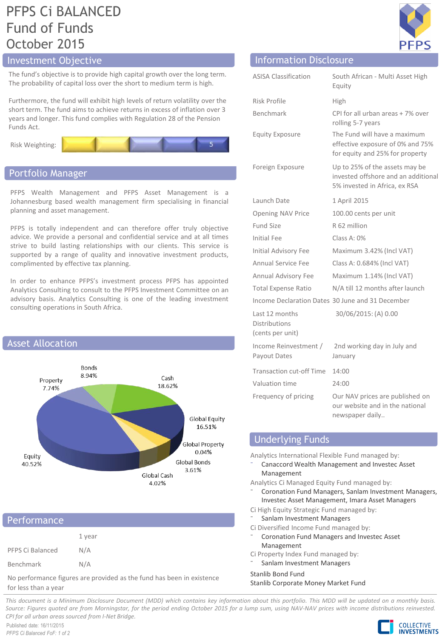# PFPS Ci BALANCED Fund of Funds October 2015

# Investment Objective Information Disclosure

The fund's objective is to provide high capital growth over the long term. The probability of capital loss over the short to medium term is high.

Furthermore, the fund will exhibit high levels of return volatility over the short term. The fund aims to achieve returns in excess of inflation over 3 years and longer. This fund complies with Regulation 28 of the Pension Funds Act.





### Portfolio Manager

PFPS Wealth Management and PFPS Asset Management is a Johannesburg based wealth management firm specialising in financial planning and asset management.

PFPS is totally independent and can therefore offer truly objective advice. We provide a personal and confidential service and at all times strive to build lasting relationships with our clients. This service is supported by a range of quality and innovative investment products, complimented by effective tax planning.

In order to enhance PFPS's investment process PFPS has appointed Analytics Consulting to consult to the PFPS Investment Committee on an advisory basis. Analytics Consulting is one of the leading investment consulting operations in South Africa.



## Performance

|                  | 1 year |
|------------------|--------|
| PFPS Ci Balanced | N/A    |
| Benchmark        | N/A    |

No performance figures are provided as the fund has been in existence for less than a year

| PFP              |  |
|------------------|--|
|                  |  |
| Multi Asset High |  |

| <b>ASISA Classification</b>                         | South African - Multi Asset High<br>Equity                                                             |
|-----------------------------------------------------|--------------------------------------------------------------------------------------------------------|
| <b>Risk Profile</b>                                 | High                                                                                                   |
| <b>Benchmark</b>                                    | CPI for all urban areas + 7% over<br>rolling 5-7 years                                                 |
| <b>Equity Exposure</b>                              | The Fund will have a maximum<br>effective exposure of 0% and 75%<br>for equity and 25% for property    |
| Foreign Exposure                                    | Up to 25% of the assets may be<br>invested offshore and an additional<br>5% invested in Africa, ex RSA |
| Launch Date                                         | 1 April 2015                                                                                           |
| <b>Opening NAV Price</b>                            | 100.00 cents per unit                                                                                  |
| Fund Size                                           | R 62 million                                                                                           |
| Initial Fee                                         | Class A: $0\%$                                                                                         |
| Initial Advisory Fee                                | Maximum 3.42% (Incl VAT)                                                                               |
| <b>Annual Service Fee</b>                           | Class A: 0.684% (Incl VAT)                                                                             |
| Annual Advisory Fee                                 | Maximum 1.14% (Incl VAT)                                                                               |
| <b>Total Expense Ratio</b>                          | N/A till 12 months after launch                                                                        |
|                                                     | Income Declaration Dates 30 June and 31 December                                                       |
| Last 12 months<br>Distributions<br>(cents per unit) | 30/06/2015: (A) 0.00                                                                                   |
| Income Reinvestment /<br>Payout Dates               | 2nd working day in July and<br>January                                                                 |
| <b>Transaction cut-off Time</b>                     | 14:00                                                                                                  |
| Valuation time                                      | 24:00                                                                                                  |
| Frequency of pricing                                | Our NAV prices are published on<br>our website and in the national<br>newspaper daily                  |

## Underlying Funds

Analytics International Flexible Fund managed by:

⁻ Canaccord Wealth Management and Investec Asset Management

Analytics Ci Managed Equity Fund managed by:

- ⁻ Coronation Fund Managers, Sanlam Investment Managers, Investec Asset Management, Imara Asset Managers
- Ci High Equity Strategic Fund managed by:
- Sanlam Investment Managers
- Ci Diversified Income Fund managed by:
- ⁻ Coronation Fund Managers and Investec Asset Management
- Ci Property Index Fund managed by:
- Sanlam Investment Managers

Stanlib Bond Fund

Stanlib Corporate Money Market Fund

This document is a Minimum Disclosure Document (MDD) which contains key information about this portfolio. This MDD will be updated on a monthly basis. Source: Figures quoted are from Morningstar, for the period ending October 2015 for a lump sum, using NAV-NAV prices with income distributions reinvested. *CPI for all urban areas sourced from I-Net Bridge.*

Published date: 16/11/2015 *PFPS Ci Balanced FoF: 1 of 2*